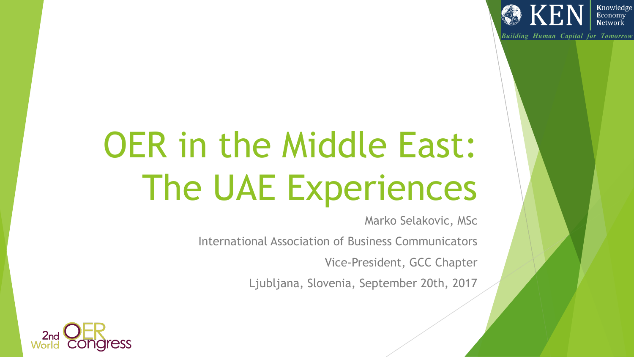

**Building Human Capital for Tomorrow** 

# OER in the Middle East: The UAE Experiences

Marko Selakovic, MSc

International Association of Business Communicators

Vice-President, GCC Chapter

Ljubljana, Slovenia, September 20th, 2017

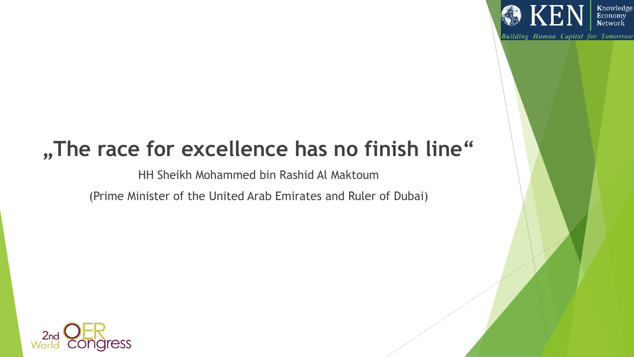

uilding Human Capital for Tomorrow

#### **"The race for excellence has no finish line"**

HH Sheikh Mohammed bin Rashid Al Maktoum

(Prime Minister of the United Arab Emirates and Ruler of Dubai)

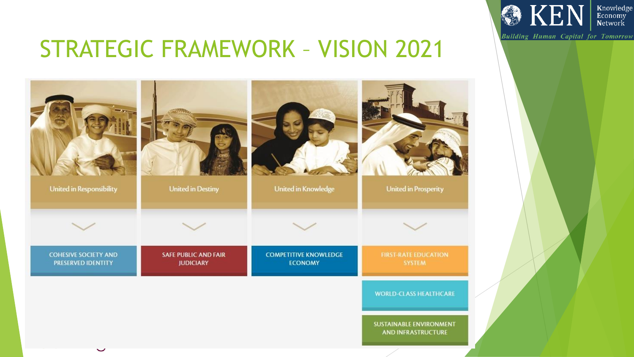

#### STRATEGIC FRAMEWORK – VISION 2021

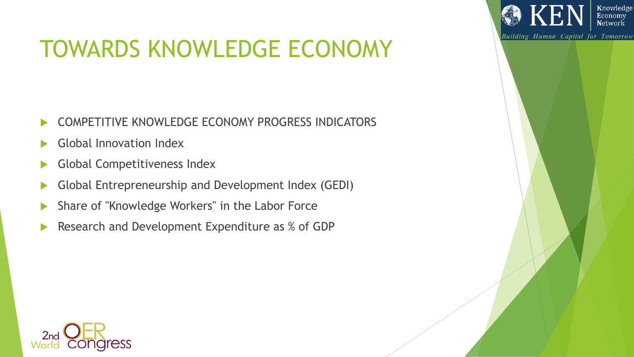### TOWARDS KNOWLEDGE ECONOMY

Knowledge Economy Network

uilding Human Capital for Tomorrow

- COMPETITIVE KNOWLEDGE ECONOMY PROGRESS INDICATORS
- Global Innovation Index
- Global Competitiveness Index
- Global Entrepreneurship and Development Index (GEDI)
- Share of "Knowledge Workers" in the Labor Force
- Research and Development Expenditure as % of GDP

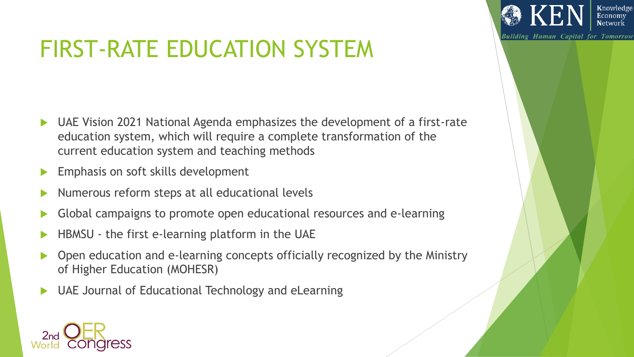## FIRST-RATE EDUCATION SYSTEM

 UAE Vision 2021 National Agenda emphasizes the development of a first-rate education system, which will require a complete transformation of the current education system and teaching methods

Knowledge **Economy** Network

Human Capital for Tomorrov

- Emphasis on soft skills development
- Numerous reform steps at all educational levels
- Global campaigns to promote open educational resources and e-learning
- HBMSU the first e-learning platform in the UAE
- Open education and e-learning concepts officially recognized by the Ministry of Higher Education (MOHESR)
- UAE Journal of Educational Technology and eLearning

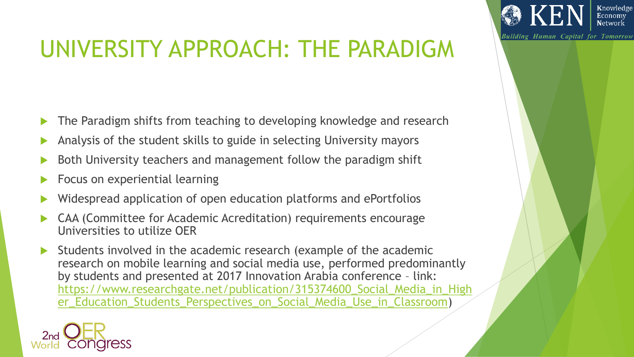

### UNIVERSITY APPROACH: THE PARADIGM

- The Paradigm shifts from teaching to developing knowledge and research
- Analysis of the student skills to guide in selecting University mayors
- Both University teachers and management follow the paradigm shift
- Focus on experiential learning
- Widespread application of open education platforms and ePortfolios
- CAA (Committee for Academic Acreditation) requirements encourage Universities to utilize OER
- Students involved in the academic research (example of the academic research on mobile learning and social media use, performed predominantly by students and presented at 2017 Innovation Arabia conference – link: https://www.researchgate.net/publication/315374600\_Social\_Media\_in\_High [er\\_Education\\_Students\\_Perspectives\\_on\\_Social\\_Media\\_Use\\_in\\_Classroom\)](https://www.researchgate.net/publication/315374600_Social_Media_in_Higher_Education_Students_Perspectives_on_Social_Media_Use_in_Classroom)

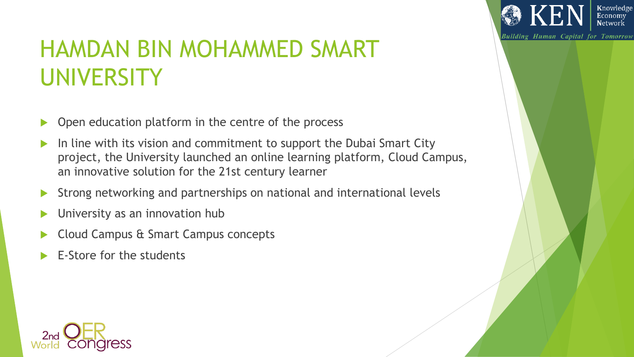

### HAMDAN BIN MOHAMMED SMART UNIVERSITY

- Open education platform in the centre of the process
- In line with its vision and commitment to support the Dubai Smart City project, the University launched an online learning platform, Cloud Campus, an innovative solution for the 21st century learner
- Strong networking and partnerships on national and international levels
- University as an innovation hub
- Cloud Campus & Smart Campus concepts
- E-Store for the students

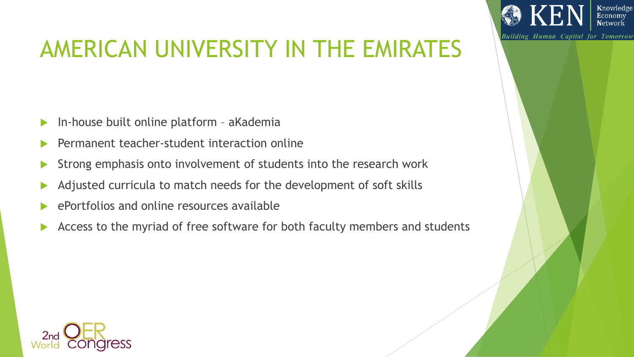

### AMERICAN UNIVERSITY IN THE EMIRATES

- In-house built online platform aKademia
- Permanent teacher-student interaction online
- Strong emphasis onto involvement of students into the research work
- Adjusted curricula to match needs for the development of soft skills
- ePortfolios and online resources available
- Access to the myriad of free software for both faculty members and students

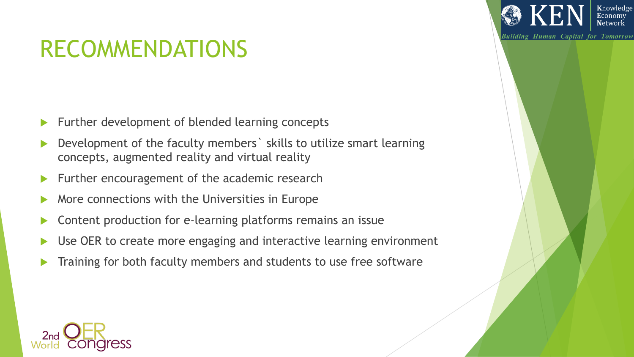#### RECOMMENDATIONS

- $\blacktriangleright$  Further development of blended learning concepts
- Development of the faculty members` skills to utilize smart learning concepts, augmented reality and virtual reality

Knowledge Economy Network

**Human** Capital for Tomorrow

ilding

- $\blacktriangleright$  Further encouragement of the academic research
- More connections with the Universities in Europe
- Content production for e-learning platforms remains an issue
- ▶ Use OER to create more engaging and interactive learning environment
- Training for both faculty members and students to use free software

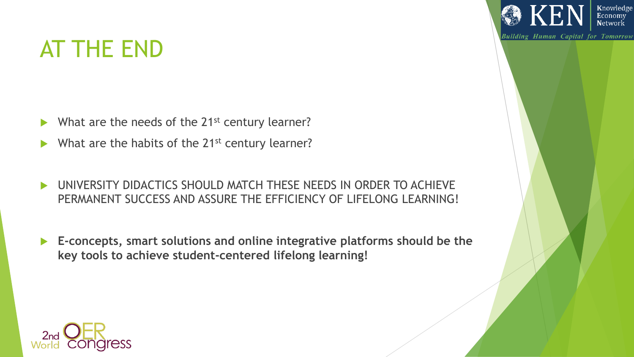#### AT THE END

- $\blacktriangleright$  What are the needs of the 21<sup>st</sup> century learner?
- $\blacktriangleright$  What are the habits of the 21<sup>st</sup> century learner?
- UNIVERSITY DIDACTICS SHOULD MATCH THESE NEEDS IN ORDER TO ACHIEVE PERMANENT SUCCESS AND ASSURE THE EFFICIENCY OF LIFELONG LEARNING!

Knowledge Economy Network

iilding Human Capital for Tomorrow

 **E-concepts, smart solutions and online integrative platforms should be the key tools to achieve student-centered lifelong learning!**